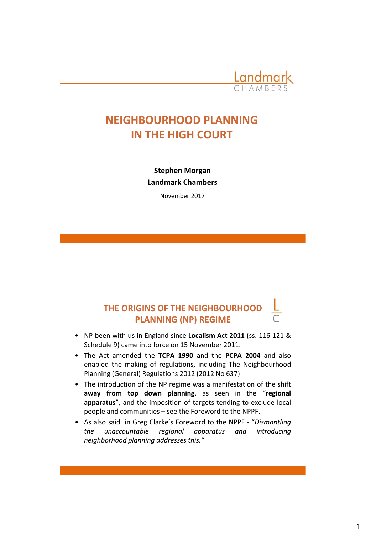

# **NEIGHBOURHOOD PLANNING IN THE HIGH COURT**

**Stephen Morgan Landmark Chambers**

November 2017

# **THE ORIGINS OF THE NEIGHBOURHOOD PLANNING (NP) REGIME**

- NP been with us in England since **Localism Act 2011** (ss. 116-121 & Schedule 9) came into force on 15 November 2011.
- The Act amended the **TCPA 1990** and the **PCPA 2004** and also enabled the making of regulations, including The Neighbourhood Planning (General) Regulations 2012 (2012 No 637)
- The introduction of the NP regime was a manifestation of the shift **away from top down planning**, as seen in the "**regional apparatus**", and the imposition of targets tending to exclude local people and communities – see the Foreword to the NPPF.
- As also said in Greg Clarke's Foreword to the NPPF "*Dismantling the unaccountable regional apparatus and introducing neighborhood planning addresses this."*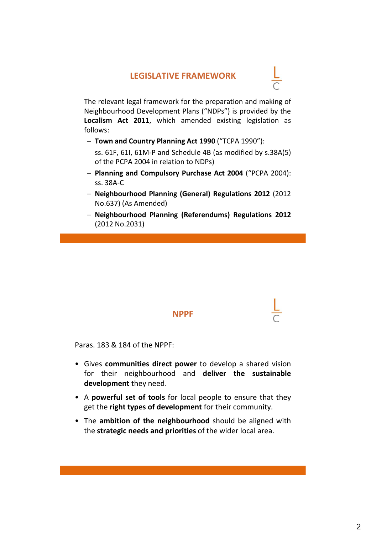### **LEGISLATIVE FRAMEWORK**



- **Town and Country Planning Act 1990** ("TCPA 1990"):
	- ss. 61F, 61I, 61M-P and Schedule 4B (as modified by s.38A(5) of the PCPA 2004 in relation to NDPs)
- **Planning and Compulsory Purchase Act 2004** ("PCPA 2004): ss. 38A-C
- **Neighbourhood Planning (General) Regulations 2012** (2012 No.637) (As Amended)
- **Neighbourhood Planning (Referendums) Regulations 2012** (2012 No.2031)

#### **NPPF**

Paras. 183 & 184 of the NPPF:

- Gives **communities direct power** to develop a shared vision for their neighbourhood and **deliver the sustainable development** they need.
- A **powerful set of tools** for local people to ensure that they get the **right types of development** for their community.
- The **ambition of the neighbourhood** should be aligned with the **strategic needs and priorities** of the wider local area.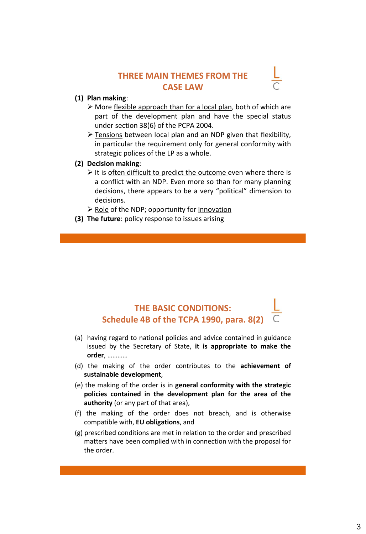### **THREE MAIN THEMES FROM THE CASE LAW**

#### **(1) Plan making**:

- ➢ More flexible approach than for a local plan, both of which are part of the development plan and have the special status under section 38(6) of the PCPA 2004.
- ➢ Tensions between local plan and an NDP given that flexibility, in particular the requirement only for general conformity with strategic polices of the LP as a whole.

#### **(2) Decision making**:

- $\triangleright$  It is often difficult to predict the outcome even where there is a conflict with an NDP. Even more so than for many planning decisions, there appears to be a very "political" dimension to decisions.
- $\triangleright$  Role of the NDP; opportunity for innovation
- **(3) The future**: policy response to issues arising

# **THE BASIC CONDITIONS: Schedule 4B of the TCPA 1990, para. 8(2)**

- (a) having regard to national policies and advice contained in guidance issued by the Secretary of State, **it is appropriate to make the order**, …………
- (d) the making of the order contributes to the **achievement of sustainable development**,
- (e) the making of the order is in **general conformity with the strategic policies contained in the development plan for the area of the authority** (or any part of that area),
- (f) the making of the order does not breach, and is otherwise compatible with, **EU obligations**, and
- (g) prescribed conditions are met in relation to the order and prescribed matters have been complied with in connection with the proposal for the order.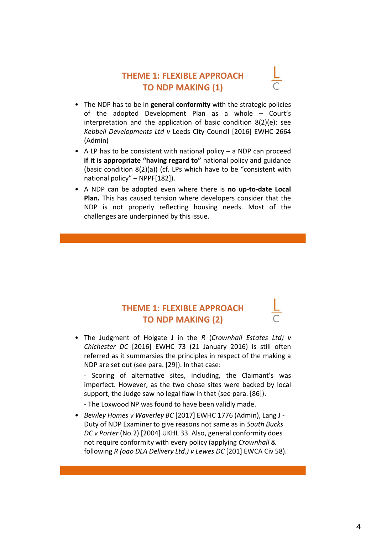### **THEME 1: FLEXIBLE APPROACH TO NDP MAKING (1)**

- The NDP has to be in **general conformity** with the strategic policies of the adopted Development Plan as a whole – Court's interpretation and the application of basic condition 8(2)(e): see *Kebbell Developments Ltd v* Leeds City Council [2016] EWHC 2664 (Admin)
- A LP has to be consistent with national policy  $-$  a NDP can proceed **if it is appropriate "having regard to"** national policy and guidance (basic condition 8(2)(a)) (cf. LPs which have to be "consistent with national policy" – NPPF[182]).
- A NDP can be adopted even where there is **no up-to-date Local Plan.** This has caused tension where developers consider that the NDP is not properly reflecting housing needs. Most of the challenges are underpinned by this issue.

### **THEME 1: FLEXIBLE APPROACH TO NDP MAKING (2)**

• The Judgment of Holgate J in the *R* (*Crownhall Estates Ltd) v Chichester DC* [2016] EWHC 73 (21 January 2016) is still often referred as it summarsies the principles in respect of the making a NDP are set out (see para. [29]). In that case:

- Scoring of alternative sites, including, the Claimant's was imperfect. However, as the two chose sites were backed by local support, the Judge saw no legal flaw in that (see para. [86]).

- The Loxwood NP was found to have been validly made.

• *Bewley Homes v Waverley BC* [2017] EWHC 1776 (Admin), Lang J - Duty of NDP Examiner to give reasons not same as in *South Bucks DC v Porter* (No.2) [2004] UKHL 33. Also, general conformity does not require conformity with every policy (applying *Crownhall* & following *R (oao DLA Delivery Ltd.) v Lewes DC* [201] EWCA Civ 58).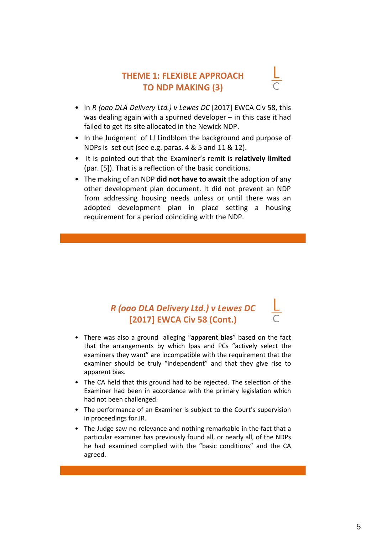### **THEME 1: FLEXIBLE APPROACH TO NDP MAKING (3)**

- In *R (oao DLA Delivery Ltd.) v Lewes DC* [2017] EWCA Civ 58, this was dealing again with a spurned developer – in this case it had failed to get its site allocated in the Newick NDP.
- In the Judgment of LJ Lindblom the background and purpose of NDPs is set out (see e.g. paras. 4 & 5 and 11 & 12).
- It is pointed out that the Examiner's remit is **relatively limited** (par. [5]). That is a reflection of the basic conditions.
- The making of an NDP **did not have to await** the adoption of any other development plan document. It did not prevent an NDP from addressing housing needs unless or until there was an adopted development plan in place setting a housing requirement for a period coinciding with the NDP.

## *R (oao DLA Delivery Ltd.) v Lewes DC*  **[2017] EWCA Civ 58 (Cont.)**

- There was also a ground alleging "**apparent bias**" based on the fact that the arrangements by which lpas and PCs "actively select the examiners they want" are incompatible with the requirement that the examiner should be truly "independent" and that they give rise to apparent bias.
- The CA held that this ground had to be rejected. The selection of the Examiner had been in accordance with the primary legislation which had not been challenged.
- The performance of an Examiner is subject to the Court's supervision in proceedings for JR.
- The Judge saw no relevance and nothing remarkable in the fact that a particular examiner has previously found all, or nearly all, of the NDPs he had examined complied with the "basic conditions" and the CA agreed.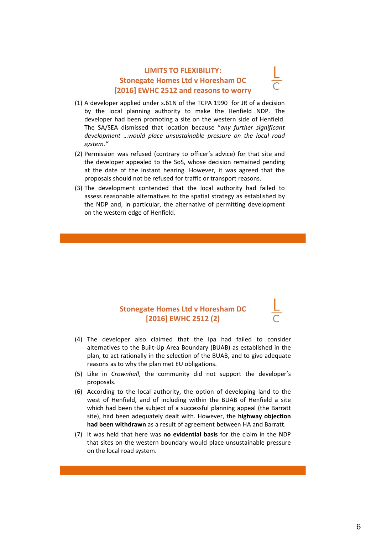#### **LIMITS TO FLEXIBILITY: Stonegate Homes Ltd v Horesham DC [2016] EWHC 2512 and reasons to worry**

- (1) A developer applied under s.61N of the TCPA 1990 for JR of a decision by the local planning authority to make the Henfield NDP. The developer had been promoting a site on the western side of Henfield. The SA/SEA dismissed that location because "*any further significant development …would place unsustainable pressure on the local road system."*
- (2) Permission was refused (contrary to officer's advice) for that site and the developer appealed to the SoS, whose decision remained pending at the date of the instant hearing. However, it was agreed that the proposals should not be refused for traffic or transport reasons.
- (3) The development contended that the local authority had failed to assess reasonable alternatives to the spatial strategy as established by the NDP and, in particular, the alternative of permitting development on the western edge of Henfield.

#### **Stonegate Homes Ltd v Horesham DC [2016] EWHC 2512 (2)**

- (4) The developer also claimed that the lpa had failed to consider alternatives to the Built-Up Area Boundary (BUAB) as established in the plan, to act rationally in the selection of the BUAB, and to give adequate reasons as to why the plan met EU obligations.
- (5) Like in *Crownhall*, the community did not support the developer's proposals.
- (6) According to the local authority, the option of developing land to the west of Henfield, and of including within the BUAB of Henfield a site which had been the subject of a successful planning appeal (the Barratt site), had been adequately dealt with. However, the **highway objection had been withdrawn** as a result of agreement between HA and Barratt.
- (7) It was held that here was **no evidential basis** for the claim in the NDP that sites on the western boundary would place unsustainable pressure on the local road system.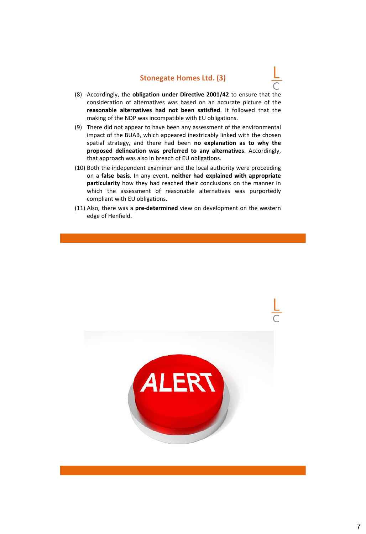#### **Stonegate Homes Ltd. (3)**

- (8) Accordingly, the **obligation under Directive 2001/42** to ensure that the consideration of alternatives was based on an accurate picture of the **reasonable alternatives had not been satisfied**. It followed that the making of the NDP was incompatible with EU obligations.
- (9) There did not appear to have been any assessment of the environmental impact of the BUAB, which appeared inextricably linked with the chosen spatial strategy, and there had been **no explanation as to why the proposed delineation was preferred to any alternatives**. Accordingly, that approach was also in breach of EU obligations.
- (10) Both the independent examiner and the local authority were proceeding on a **false basis**. In any event, **neither had explained with appropriate particularity** how they had reached their conclusions on the manner in which the assessment of reasonable alternatives was purportedly compliant with EU obligations.
- (11) Also, there was a **pre-determined** view on development on the western edge of Henfield.

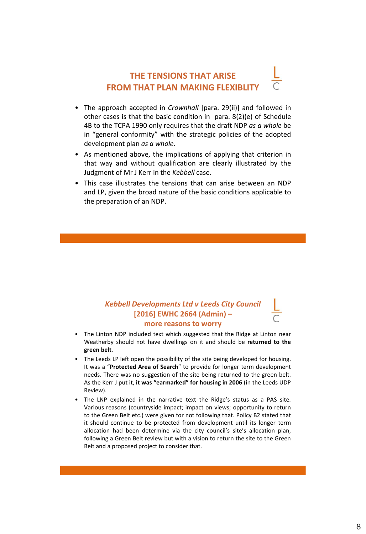### **THE TENSIONS THAT ARISE FROM THAT PLAN MAKING FLEXIBLITY**

- The approach accepted in *Crownhall* [para. 29(ii)] and followed in other cases is that the basic condition in para. 8(2)(e) of Schedule 4B to the TCPA 1990 only requires that the draft NDP *as a whole* be in "general conformity" with the strategic policies of the adopted development plan *as a whole.*
- As mentioned above, the implications of applying that criterion in that way and without qualification are clearly illustrated by the Judgment of Mr J Kerr in the *Kebbell* case.
- This case illustrates the tensions that can arise between an NDP and LP, given the broad nature of the basic conditions applicable to the preparation of an NDP.

### *Kebbell Developments Ltd v Leeds City Council*  **[2016] EWHC 2664 (Admin) – more reasons to worry**

- The Linton NDP included text which suggested that the Ridge at Linton near Weatherby should not have dwellings on it and should be **returned to the green belt**.
- The Leeds LP left open the possibility of the site being developed for housing. It was a "**Protected Area of Search**" to provide for longer term development needs. There was no suggestion of the site being returned to the green belt. As the Kerr J put it, **it was "earmarked" for housing in 2006** (in the Leeds UDP Review).
- The LNP explained in the narrative text the Ridge's status as a PAS site. Various reasons (countryside impact; impact on views; opportunity to return to the Green Belt etc.) were given for not following that. Policy B2 stated that it should continue to be protected from development until its longer term allocation had been determine via the city council's site's allocation plan, following a Green Belt review but with a vision to return the site to the Green Belt and a proposed project to consider that.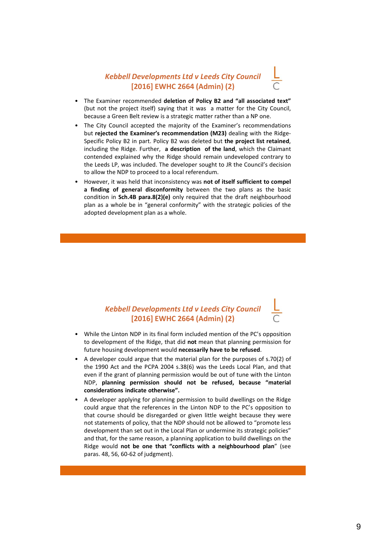### *Kebbell Developments Ltd v Leeds City Council*  **[2016] EWHC 2664 (Admin) (2)**

- The Examiner recommended **deletion of Policy B2 and "all associated text"** (but not the project itself) saying that it was a matter for the City Council, because a Green Belt review is a strategic matter rather than a NP one.
- The City Council accepted the majority of the Examiner's recommendations but **rejected the Examiner's recommendation (M23)** dealing with the Ridge-Specific Policy B2 in part. Policy B2 was deleted but **the project list retained**, including the Ridge. Further, **a description of the land**, which the Claimant contended explained why the Ridge should remain undeveloped contrary to the Leeds LP, was included. The developer sought to JR the Council's decision to allow the NDP to proceed to a local referendum.
- However, it was held that inconsistency was **not of itself sufficient to compel a finding of general disconformity** between the two plans as the basic condition in **Sch.4B para.8(2)(e)** only required that the draft neighbourhood plan as a whole be in "general conformity" with the strategic policies of the adopted development plan as a whole.

### *Kebbell Developments Ltd v Leeds City Council*  **[2016] EWHC 2664 (Admin) (2)**

- While the Linton NDP in its final form included mention of the PC's opposition to development of the Ridge, that did **not** mean that planning permission for future housing development would **necessarily have to be refused**.
- A developer could argue that the material plan for the purposes of s.70(2) of the 1990 Act and the PCPA 2004 s.38(6) was the Leeds Local Plan, and that even if the grant of planning permission would be out of tune with the Linton NDP, **planning permission should not be refused, because "material considerations indicate otherwise".**
- A developer applying for planning permission to build dwellings on the Ridge could argue that the references in the Linton NDP to the PC's opposition to that course should be disregarded or given little weight because they were not statements of policy, that the NDP should not be allowed to "promote less development than set out in the Local Plan or undermine its strategic policies" and that, for the same reason, a planning application to build dwellings on the Ridge would **not be one that "conflicts with a neighbourhood plan**" (see paras. 48, 56, 60-62 of judgment).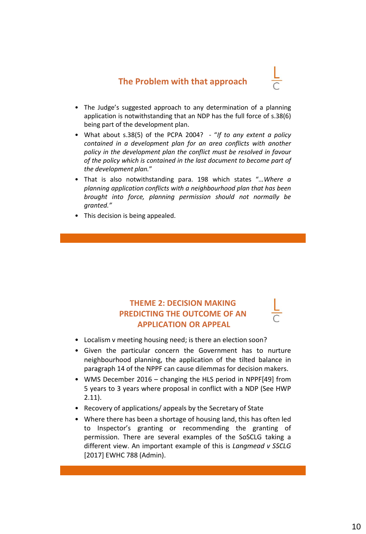### **The Problem with that approach**

- 
- The Judge's suggested approach to any determination of a planning application is notwithstanding that an NDP has the full force of s.38(6) being part of the development plan.
- What about s.38(5) of the PCPA 2004? "*If to any extent a policy contained in a development plan for an area conflicts with another policy in the development plan the conflict must be resolved in favour of the policy which is contained in the last document to become part of the development plan.*"
- That is also notwithstanding para. 198 which states "*…Where a planning application conflicts with a neighbourhood plan that has been brought into force, planning permission should not normally be granted."*
- This decision is being appealed.

### **THEME 2: DECISION MAKING PREDICTING THE OUTCOME OF AN APPLICATION OR APPEAL**

- Localism v meeting housing need; is there an election soon?
- Given the particular concern the Government has to nurture neighbourhood planning, the application of the tilted balance in paragraph 14 of the NPPF can cause dilemmas for decision makers.
- WMS December 2016 changing the HLS period in NPPF[49] from 5 years to 3 years where proposal in conflict with a NDP (See HWP 2.11).
- Recovery of applications/ appeals by the Secretary of State
- Where there has been a shortage of housing land, this has often led to Inspector's granting or recommending the granting of permission. There are several examples of the SoSCLG taking a different view. An important example of this is *Langmead v SSCLG* [2017] EWHC 788 (Admin).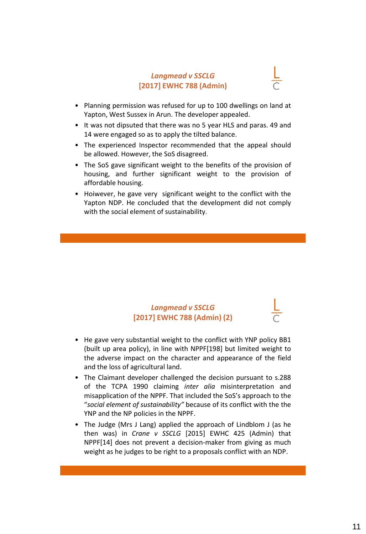#### *Langmead v SSCLG*  **[2017] EWHC 788 (Admin)**



- Planning permission was refused for up to 100 dwellings on land at Yapton, West Sussex in Arun. The developer appealed.
- It was not dipsuted that there was no 5 year HLS and paras. 49 and 14 were engaged so as to apply the tilted balance.
- The experienced Inspector recommended that the appeal should be allowed. However, the SoS disagreed.
- The SoS gave significant weight to the benefits of the provision of housing, and further significant weight to the provision of affordable housing.
- Hoiwever, he gave very significant weight to the conflict with the Yapton NDP. He concluded that the development did not comply with the social element of sustainability.

### *Langmead v SSCLG*  **[2017] EWHC 788 (Admin) (2)**

- He gave very substantial weight to the conflict with YNP policy BB1 (built up area policy), in line with NPPF[198] but limited weight to the adverse impact on the character and appearance of the field and the loss of agricultural land.
- The Claimant developer challenged the decision pursuant to s.288 of the TCPA 1990 claiming *inter alia* misinterpretation and misapplication of the NPPF. That included the SoS's approach to the "*social element of sustainability"* because of its conflict with the the YNP and the NP policies in the NPPF.
- The Judge (Mrs J Lang) applied the approach of Lindblom J (as he then was) in *Crane v SSCLG* [2015] EWHC 425 (Admin) that NPPF[14] does not prevent a decision-maker from giving as much weight as he judges to be right to a proposals conflict with an NDP.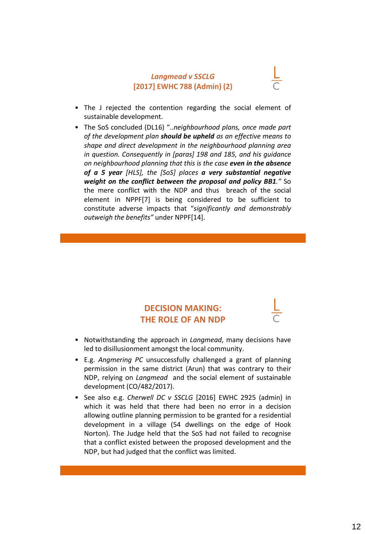#### *Langmead v SSCLG*  **[2017] EWHC 788 (Admin) (2)**

- The J rejected the contention regarding the social element of sustainable development.
- The SoS concluded (DL16) "..*neighbourhood plans, once made part of the development plan should be upheld as an effective means to shape and direct development in the neighbourhood planning area in question. Consequently in [paras] 198 and 185, and his guidance on neighbourhood planning that this is the case even in the absence of a 5 year [HLS], the [SoS] places a very substantial negative weight on the conflict between the proposal and policy BB1."* So the mere conflict with the NDP and thus breach of the social element in NPPF[7] is being considered to be sufficient to constitute adverse impacts that "*significantly and demonstrably outweigh the benefits"* under NPPF[14].

### **DECISION MAKING: THE ROLE OF AN NDP**

- Notwithstanding the approach in *Langmead*, many decisions have led to disillusionment amongst the local community.
- E.g. *Angmering PC* unsuccessfully challenged a grant of planning permission in the same district (Arun) that was contrary to their NDP, relying on *Langmead* and the social element of sustainable development (CO/482/2017).
- See also e.g. *Cherwell DC v SSCLG* [2016] EWHC 2925 (admin) in which it was held that there had been no error in a decision allowing outline planning permission to be granted for a residential development in a village (54 dwellings on the edge of Hook Norton). The Judge held that the SoS had not failed to recognise that a conflict existed between the proposed development and the NDP, but had judged that the conflict was limited.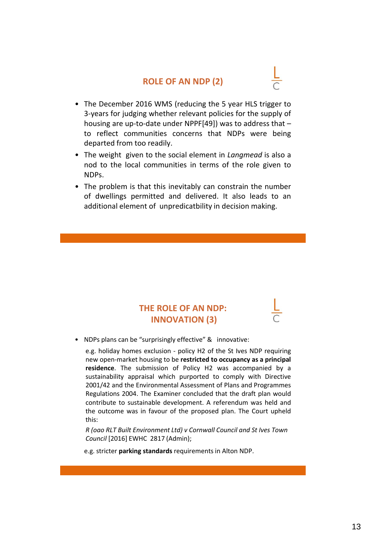### **ROLE OF AN NDP (2)**

- The December 2016 WMS (reducing the 5 year HLS trigger to 3-years for judging whether relevant policies for the supply of housing are up-to-date under NPPF[49]) was to address that – to reflect communities concerns that NDPs were being departed from too readily.
- The weight given to the social element in *Langmead* is also a nod to the local communities in terms of the role given to NDPs.
- The problem is that this inevitably can constrain the number of dwellings permitted and delivered. It also leads to an additional element of unpredicatbility in decision making.

### **THE ROLE OF AN NDP: INNOVATION (3)**

• NDPs plans can be "surprisingly effective" & innovative:

e.g. holiday homes exclusion - policy H2 of the St Ives NDP requiring new open-market housing to be **restricted to occupancy as a principal residence**. The submission of Policy H2 was accompanied by a sustainability appraisal which purported to comply with Directive 2001/42 and the Environmental Assessment of Plans and Programmes Regulations 2004. The Examiner concluded that the draft plan would contribute to sustainable development. A referendum was held and the outcome was in favour of the proposed plan. The Court upheld this:

*R (oao RLT Built Environment Ltd) v Cornwall Council and St Ives Town Council* [2016] EWHC 2817 (Admin);

e.g. stricter **parking standards** requirements in Alton NDP.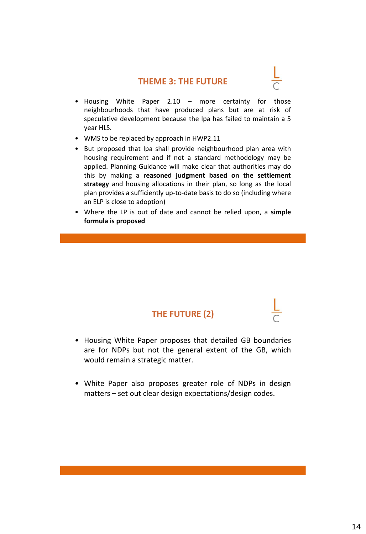### **THEME 3: THE FUTURE**

- 
- Housing White Paper 2.10 more certainty for those neighbourhoods that have produced plans but are at risk of speculative development because the lpa has failed to maintain a 5 year HLS.
- WMS to be replaced by approach in HWP2.11
- But proposed that lpa shall provide neighbourhood plan area with housing requirement and if not a standard methodology may be applied. Planning Guidance will make clear that authorities may do this by making a **reasoned judgment based on the settlement strategy** and housing allocations in their plan, so long as the local plan provides a sufficiently up-to-date basis to do so (including where an ELP is close to adoption)
- Where the LP is out of date and cannot be relied upon, a **simple formula is proposed**

### **THE FUTURE (2)**

- Housing White Paper proposes that detailed GB boundaries are for NDPs but not the general extent of the GB, which would remain a strategic matter.
- White Paper also proposes greater role of NDPs in design matters – set out clear design expectations/design codes.